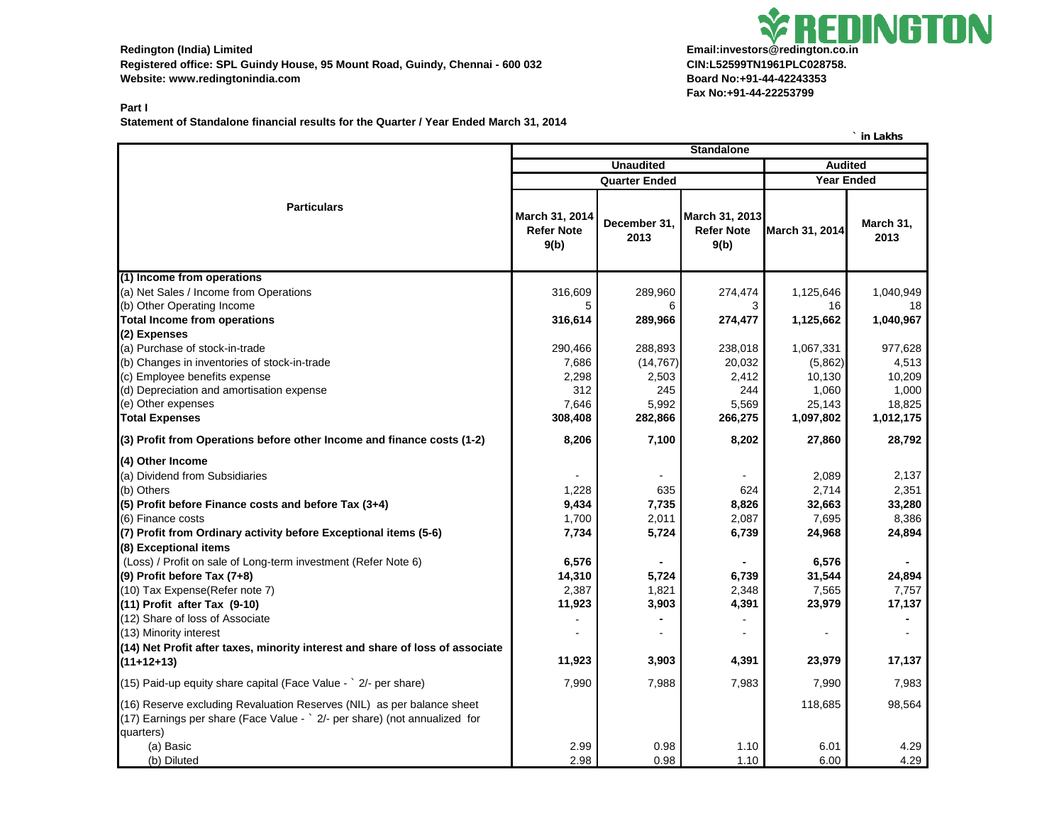**Registered office: SPL Guindy House, 95 Mount Road, Guindy, Chennai - 600 032 CIN:L52599TN1961PLC028758.** Website: www.redingtonindia.com **Board No:+91-44-42243353** 

## Redington (India) Limited<br>**Redington (India) Limited Fax No:+91-44-22253799**

## **Part I**

**Statement of Standalone financial results for the Quarter / Year Ended March 31, 2014**

|                                                                                                                                                                   |                                                                                 |                      | <b>Standalone</b>                           |                     | III LANIIS          |
|-------------------------------------------------------------------------------------------------------------------------------------------------------------------|---------------------------------------------------------------------------------|----------------------|---------------------------------------------|---------------------|---------------------|
|                                                                                                                                                                   | <b>Unaudited</b><br><b>Audited</b><br><b>Quarter Ended</b><br><b>Year Ended</b> |                      |                                             |                     |                     |
|                                                                                                                                                                   |                                                                                 |                      |                                             |                     |                     |
| <b>Particulars</b>                                                                                                                                                | March 31, 2014<br><b>Refer Note</b><br>9(b)                                     | December 31,<br>2013 | March 31, 2013<br><b>Refer Note</b><br>9(b) | March 31, 2014      | March 31,<br>2013   |
| (1) Income from operations                                                                                                                                        |                                                                                 |                      |                                             |                     |                     |
| (a) Net Sales / Income from Operations                                                                                                                            | 316,609                                                                         | 289,960              | 274,474                                     | 1,125,646           | 1,040,949           |
| (b) Other Operating Income                                                                                                                                        | 5                                                                               | 6                    | 3                                           | 16                  | 18                  |
| <b>Total Income from operations</b>                                                                                                                               | 316,614                                                                         | 289,966              | 274,477                                     | 1,125,662           | 1,040,967           |
| (2) Expenses                                                                                                                                                      |                                                                                 |                      |                                             |                     |                     |
| (a) Purchase of stock-in-trade                                                                                                                                    | 290,466                                                                         | 288,893              | 238,018                                     | 1,067,331           | 977,628             |
| (b) Changes in inventories of stock-in-trade                                                                                                                      | 7,686                                                                           | (14, 767)            | 20,032                                      | (5,862)             | 4,513               |
| (c) Employee benefits expense                                                                                                                                     | 2,298                                                                           | 2,503                | 2,412                                       | 10,130              | 10,209              |
| (d) Depreciation and amortisation expense<br>(e) Other expenses                                                                                                   | 312                                                                             | 245<br>5,992         | 244                                         | 1,060               | 1,000               |
| <b>Total Expenses</b>                                                                                                                                             | 7,646<br>308,408                                                                | 282,866              | 5,569<br>266,275                            | 25,143<br>1,097,802 | 18,825<br>1,012,175 |
|                                                                                                                                                                   |                                                                                 |                      |                                             |                     |                     |
| (3) Profit from Operations before other Income and finance costs (1-2)                                                                                            | 8,206                                                                           | 7,100                | 8,202                                       | 27,860              | 28,792              |
| (4) Other Income                                                                                                                                                  |                                                                                 |                      |                                             |                     |                     |
| (a) Dividend from Subsidiaries                                                                                                                                    |                                                                                 |                      |                                             | 2,089               | 2,137               |
| (b) Others                                                                                                                                                        | 1,228                                                                           | 635                  | 624                                         | 2,714               | 2,351               |
| (5) Profit before Finance costs and before Tax (3+4)                                                                                                              | 9,434                                                                           | 7,735                | 8,826                                       | 32,663              | 33,280              |
| (6) Finance costs                                                                                                                                                 | 1,700                                                                           | 2,011                | 2,087                                       | 7,695               | 8,386               |
| (7) Profit from Ordinary activity before Exceptional items (5-6)                                                                                                  | 7,734                                                                           | 5,724                | 6,739                                       | 24,968              | 24,894              |
| (8) Exceptional items<br>(Loss) / Profit on sale of Long-term investment (Refer Note 6)                                                                           |                                                                                 |                      |                                             |                     |                     |
| $(9)$ Profit before Tax $(7+8)$                                                                                                                                   | 6,576<br>14,310                                                                 | 5,724                | 6,739                                       | 6,576<br>31,544     | 24,894              |
| (10) Tax Expense(Refer note 7)                                                                                                                                    | 2,387                                                                           | 1,821                | 2,348                                       | 7,565               | 7,757               |
| $(11)$ Profit after Tax $(9-10)$                                                                                                                                  | 11,923                                                                          | 3,903                | 4,391                                       | 23,979              | 17,137              |
| (12) Share of loss of Associate                                                                                                                                   |                                                                                 |                      |                                             |                     |                     |
| (13) Minority interest                                                                                                                                            |                                                                                 |                      |                                             | $\blacksquare$      |                     |
| (14) Net Profit after taxes, minority interest and share of loss of associate                                                                                     |                                                                                 |                      |                                             |                     |                     |
| $(11+12+13)$                                                                                                                                                      | 11,923                                                                          | 3,903                | 4,391                                       | 23,979              | 17,137              |
| (15) Paid-up equity share capital (Face Value $\rightarrow$ 2/- per share)                                                                                        | 7,990                                                                           | 7,988                | 7,983                                       | 7,990               | 7,983               |
| (16) Reserve excluding Revaluation Reserves (NIL) as per balance sheet<br>(17) Earnings per share (Face Value - ` 2/- per share) (not annualized for<br>quarters) |                                                                                 |                      |                                             | 118,685             | 98,564              |
| (a) Basic<br>(b) Diluted                                                                                                                                          | 2.99<br>2.98                                                                    | 0.98<br>0.98         | 1.10<br>1.10                                | 6.01<br>6.00        | 4.29<br>4.29        |

**` in Lakhs**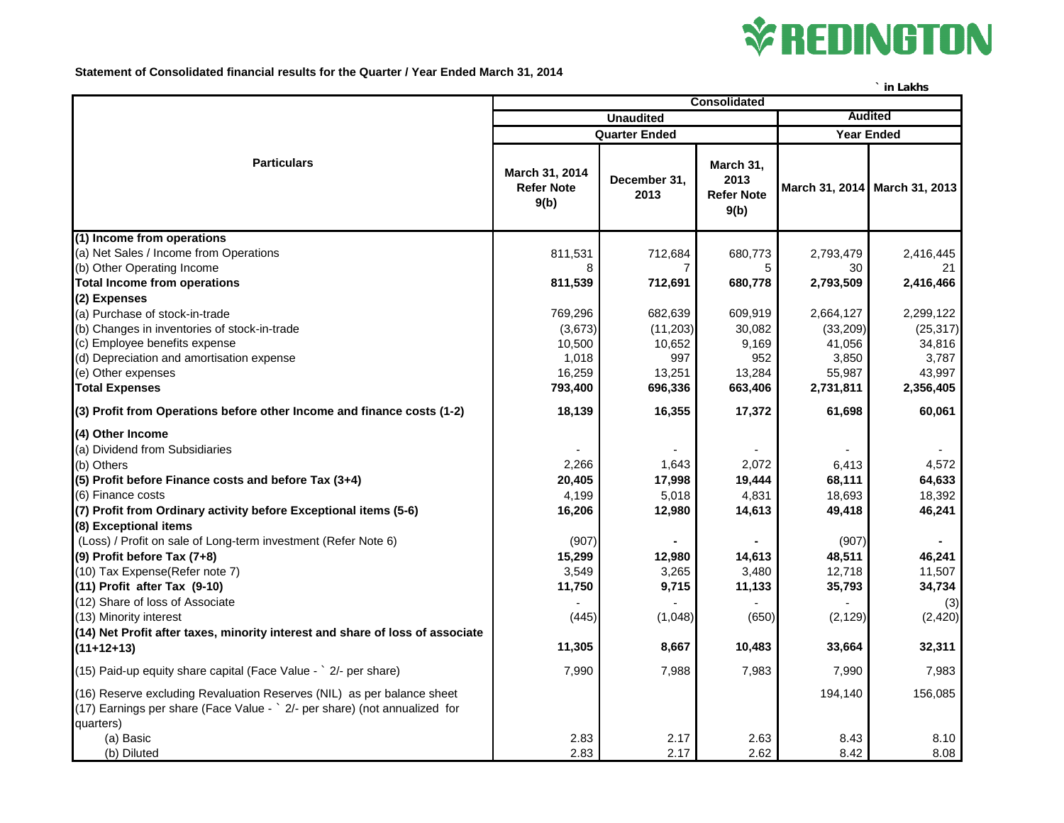

**Statement of Consolidated financial results for the Quarter / Year Ended March 31, 2014**

|                                                                                                                                                      |                                             |                      |                                                |                   | in Lakhs                      |
|------------------------------------------------------------------------------------------------------------------------------------------------------|---------------------------------------------|----------------------|------------------------------------------------|-------------------|-------------------------------|
|                                                                                                                                                      | <b>Consolidated</b>                         |                      |                                                |                   |                               |
|                                                                                                                                                      | <b>Unaudited</b>                            |                      |                                                | <b>Audited</b>    |                               |
|                                                                                                                                                      | <b>Quarter Ended</b>                        |                      |                                                | <b>Year Ended</b> |                               |
| <b>Particulars</b>                                                                                                                                   | March 31, 2014<br><b>Refer Note</b><br>9(b) | December 31,<br>2013 | March 31,<br>2013<br><b>Refer Note</b><br>9(b) |                   | March 31, 2014 March 31, 2013 |
| (1) Income from operations                                                                                                                           |                                             |                      |                                                |                   |                               |
| (a) Net Sales / Income from Operations                                                                                                               | 811,531                                     | 712,684              | 680,773                                        | 2,793,479         | 2,416,445                     |
| (b) Other Operating Income                                                                                                                           | 8                                           |                      | 5                                              | 30                | 21                            |
| <b>Total Income from operations</b>                                                                                                                  | 811,539                                     | 712,691              | 680,778                                        | 2,793,509         | 2,416,466                     |
| (2) Expenses                                                                                                                                         |                                             |                      |                                                |                   |                               |
| (a) Purchase of stock-in-trade                                                                                                                       | 769,296                                     | 682,639              | 609,919                                        | 2,664,127         | 2,299,122                     |
| (b) Changes in inventories of stock-in-trade                                                                                                         | (3,673)                                     | (11,203)             | 30,082                                         | (33,209)          | (25, 317)                     |
| (c) Employee benefits expense                                                                                                                        | 10,500                                      | 10,652               | 9,169                                          | 41,056            | 34,816                        |
| (d) Depreciation and amortisation expense<br>(e) Other expenses                                                                                      | 1,018<br>16,259                             | 997<br>13,251        | 952<br>13,284                                  | 3,850<br>55,987   | 3,787<br>43,997               |
| <b>Total Expenses</b>                                                                                                                                | 793,400                                     | 696,336              | 663,406                                        | 2,731,811         | 2,356,405                     |
|                                                                                                                                                      |                                             |                      |                                                |                   |                               |
| (3) Profit from Operations before other Income and finance costs (1-2)                                                                               | 18,139                                      | 16,355               | 17,372                                         | 61,698            | 60,061                        |
| (4) Other Income                                                                                                                                     |                                             |                      |                                                |                   |                               |
| (a) Dividend from Subsidiaries                                                                                                                       |                                             |                      |                                                |                   |                               |
| (b) Others                                                                                                                                           | 2,266                                       | 1,643                | 2,072                                          | 6,413             | 4,572                         |
| (5) Profit before Finance costs and before Tax (3+4)                                                                                                 | 20,405                                      | 17,998               | 19,444                                         | 68,111            | 64,633                        |
| (6) Finance costs                                                                                                                                    | 4,199                                       | 5,018                | 4,831                                          | 18,693            | 18,392                        |
| (7) Profit from Ordinary activity before Exceptional items (5-6)                                                                                     | 16,206                                      | 12,980               | 14,613                                         | 49,418            | 46,241                        |
| (8) Exceptional items                                                                                                                                |                                             |                      |                                                |                   |                               |
| (Loss) / Profit on sale of Long-term investment (Refer Note 6)                                                                                       | (907)                                       |                      |                                                | (907)             |                               |
| (9) Profit before Tax (7+8)                                                                                                                          | 15,299                                      | 12,980               | 14,613                                         | 48,511            | 46,241                        |
| (10) Tax Expense(Refer note 7)                                                                                                                       | 3,549                                       | 3,265                | 3,480                                          | 12,718            | 11,507                        |
| $(11)$ Profit after Tax $(9-10)$                                                                                                                     | 11,750                                      | 9,715                | 11,133                                         | 35,793            | 34,734                        |
| (12) Share of loss of Associate                                                                                                                      |                                             |                      |                                                |                   | (3)                           |
| (13) Minority interest                                                                                                                               | (445)                                       | (1,048)              | (650)                                          | (2, 129)          | (2, 420)                      |
| (14) Net Profit after taxes, minority interest and share of loss of associate                                                                        |                                             |                      |                                                |                   |                               |
| $(11+12+13)$                                                                                                                                         | 11,305                                      | 8,667                | 10,483                                         | 33,664            | 32,311                        |
| (15) Paid-up equity share capital (Face Value - ` 2/- per share)                                                                                     | 7,990                                       | 7,988                | 7,983                                          | 7,990             | 7,983                         |
| (16) Reserve excluding Revaluation Reserves (NIL) as per balance sheet<br>(17) Earnings per share (Face Value - ` 2/- per share) (not annualized for |                                             |                      |                                                | 194,140           | 156,085                       |
| quarters)                                                                                                                                            |                                             |                      |                                                |                   |                               |
| (a) Basic                                                                                                                                            | 2.83                                        | 2.17                 | 2.63                                           | 8.43              | 8.10                          |
| (b) Diluted                                                                                                                                          | 2.83                                        | 2.17                 | 2.62                                           | 8.42              | 8.08                          |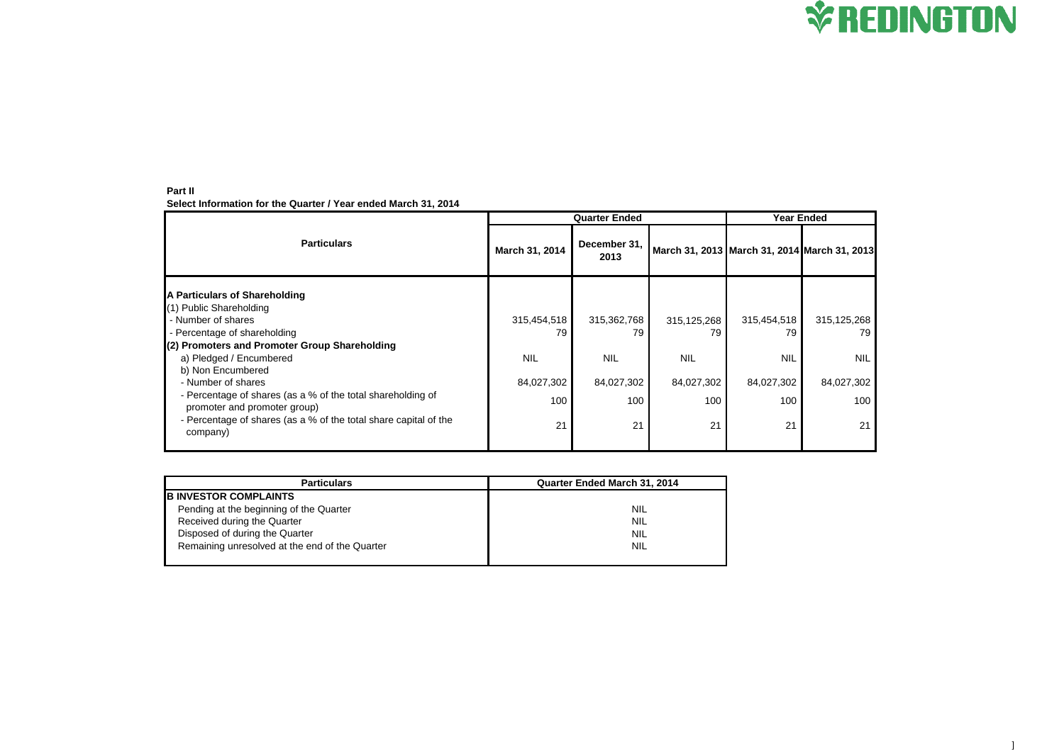**Part II Select Information for the Quarter / Year ended March 31, 2014**

|                                                                                             | <b>Quarter Ended</b> |                      |                                              | <b>Year Ended</b> |               |  |
|---------------------------------------------------------------------------------------------|----------------------|----------------------|----------------------------------------------|-------------------|---------------|--|
| <b>Particulars</b>                                                                          | March 31, 2014       | December 31,<br>2013 | March 31, 2013 March 31, 2014 March 31, 2013 |                   |               |  |
| A Particulars of Shareholding<br>(1) Public Shareholding                                    |                      |                      |                                              |                   |               |  |
| - Number of shares                                                                          | 315,454,518          | 315,362,768          | 315,125,268                                  | 315,454,518       | 315, 125, 268 |  |
| - Percentage of shareholding                                                                | 79                   | 79                   | 79                                           | 79                | 79.           |  |
| (2) Promoters and Promoter Group Shareholding                                               |                      |                      |                                              |                   |               |  |
| a) Pledged / Encumbered<br>b) Non Encumbered                                                | <b>NIL</b>           | <b>NIL</b>           | <b>NIL</b>                                   | <b>NIL</b>        | <b>NIL</b>    |  |
| - Number of shares                                                                          | 84,027,302           | 84,027,302           | 84,027,302                                   | 84,027,302        | 84,027,302    |  |
| - Percentage of shares (as a % of the total shareholding of<br>promoter and promoter group) | 100                  | 100                  | 100                                          | 100               | 100           |  |
| - Percentage of shares (as a % of the total share capital of the<br>company)                | 21                   | 21                   | 21                                           | 21                | 21            |  |

| <b>Particulars</b>                             | <b>Quarter Ended March 31, 2014</b> |
|------------------------------------------------|-------------------------------------|
| <b>B INVESTOR COMPLAINTS</b>                   |                                     |
| Pending at the beginning of the Quarter        | <b>NIL</b>                          |
| Received during the Quarter                    | <b>NIL</b>                          |
| Disposed of during the Quarter                 | <b>NIL</b>                          |
| Remaining unresolved at the end of the Quarter | <b>NIL</b>                          |
|                                                |                                     |